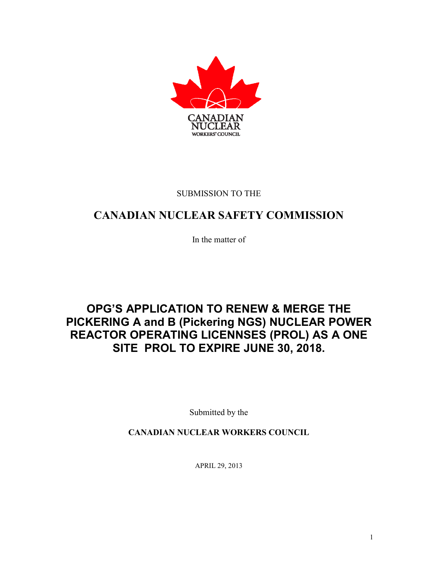

### SUBMISSION TO THE

### **CANADIAN NUCLEAR SAFETY COMMISSION**

In the matter of

## **OPG'S APPLICATION TO RENEW & MERGE THE PICKERING A and B (Pickering NGS) NUCLEAR POWER REACTOR OPERATING LICENNSES (PROL) AS A ONE SITE PROL TO EXPIRE JUNE 30, 2018.**

Submitted by the

**CANADIAN NUCLEAR WORKERS COUNCIL**

APRIL 29, 2013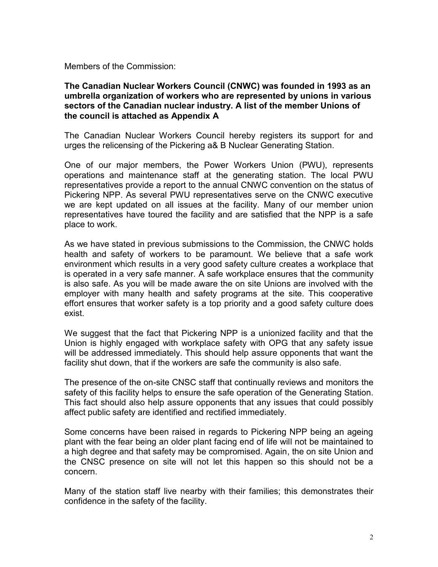Members of the Commission:

#### **The Canadian Nuclear Workers Council (CNWC) was founded in 1993 as an umbrella organization of workers who are represented by unions in various sectors of the Canadian nuclear industry. A list of the member Unions of the council is attached as Appendix A**

The Canadian Nuclear Workers Council hereby registers its support for and urges the relicensing of the Pickering a& B Nuclear Generating Station.

One of our major members, the Power Workers Union (PWU), represents operations and maintenance staff at the generating station. The local PWU representatives provide a report to the annual CNWC convention on the status of Pickering NPP. As several PWU representatives serve on the CNWC executive we are kept updated on all issues at the facility. Many of our member union representatives have toured the facility and are satisfied that the NPP is a safe place to work.

As we have stated in previous submissions to the Commission, the CNWC holds health and safety of workers to be paramount. We believe that a safe work environment which results in a very good safety culture creates a workplace that is operated in a very safe manner. A safe workplace ensures that the community is also safe. As you will be made aware the on site Unions are involved with the employer with many health and safety programs at the site. This cooperative effort ensures that worker safety is a top priority and a good safety culture does exist.

We suggest that the fact that Pickering NPP is a unionized facility and that the Union is highly engaged with workplace safety with OPG that any safety issue will be addressed immediately. This should help assure opponents that want the facility shut down, that if the workers are safe the community is also safe.

The presence of the on-site CNSC staff that continually reviews and monitors the safety of this facility helps to ensure the safe operation of the Generating Station. This fact should also help assure opponents that any issues that could possibly affect public safety are identified and rectified immediately.

Some concerns have been raised in regards to Pickering NPP being an ageing plant with the fear being an older plant facing end of life will not be maintained to a high degree and that safety may be compromised. Again, the on site Union and the CNSC presence on site will not let this happen so this should not be a concern.

Many of the station staff live nearby with their families; this demonstrates their confidence in the safety of the facility.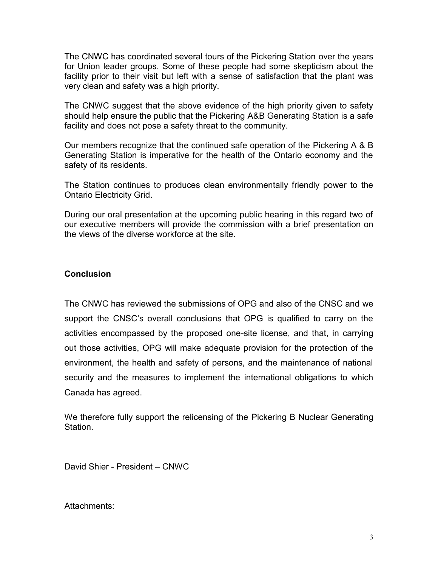The CNWC has coordinated several tours of the Pickering Station over the years for Union leader groups. Some of these people had some skepticism about the facility prior to their visit but left with a sense of satisfaction that the plant was very clean and safety was a high priority.

The CNWC suggest that the above evidence of the high priority given to safety should help ensure the public that the Pickering A&B Generating Station is a safe facility and does not pose a safety threat to the community.

Our members recognize that the continued safe operation of the Pickering A & B Generating Station is imperative for the health of the Ontario economy and the safety of its residents.

The Station continues to produces clean environmentally friendly power to the Ontario Electricity Grid.

During our oral presentation at the upcoming public hearing in this regard two of our executive members will provide the commission with a brief presentation on the views of the diverse workforce at the site.

### **Conclusion**

The CNWC has reviewed the submissions of OPG and also of the CNSC and we support the CNSC's overall conclusions that OPG is qualified to carry on the activities encompassed by the proposed one-site license, and that, in carrying out those activities, OPG will make adequate provision for the protection of the environment, the health and safety of persons, and the maintenance of national security and the measures to implement the international obligations to which Canada has agreed.

We therefore fully support the relicensing of the Pickering B Nuclear Generating Station.

David Shier - President – CNWC

Attachments: